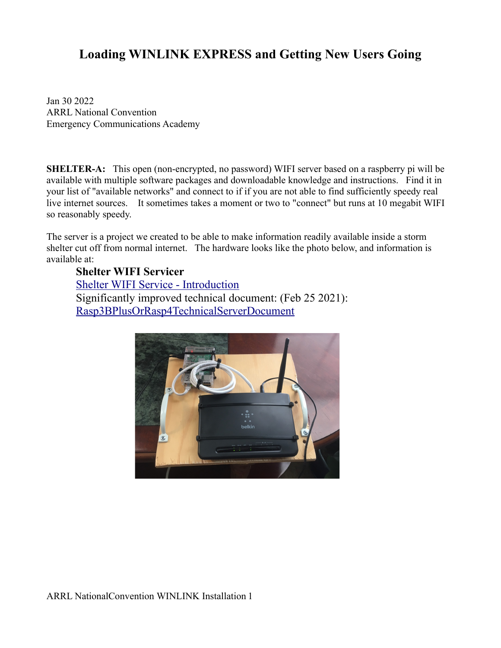# **Loading WINLINK EXPRESS and Getting New Users Going**

Jan 30 2022 ARRL National Convention Emergency Communications Academy

**SHELTER-A:** This open (non-encrypted, no password) WIFI server based on a raspberry pi will be available with multiple software packages and downloadable knowledge and instructions. Find it in your list of "available networks" and connect to if if you are not able to find sufficiently speedy real live internet sources. It sometimes takes a moment or two to "connect" but runs at 10 megabit WIFI so reasonably speedy.

The server is a project we created to be able to make information readily available inside a storm shelter cut off from normal internet. The hardware looks like the photo below, and information is available at:

### **Shelter WIFI Servicer**

[Shelter WIFI Service - Introduction](https://qsl.net/nf4rc/2020/HamRadioShelterInformationSystem.pdf) Significantly improved technical document: (Feb 25 2021): [Rasp3BPlusOrRasp4TechnicalServerDocument](https://qsl.net/nf4rc/ShelterServerSystem/ShelterServerRaspPi3BPLUS-4TechnicalDetails.pdf)

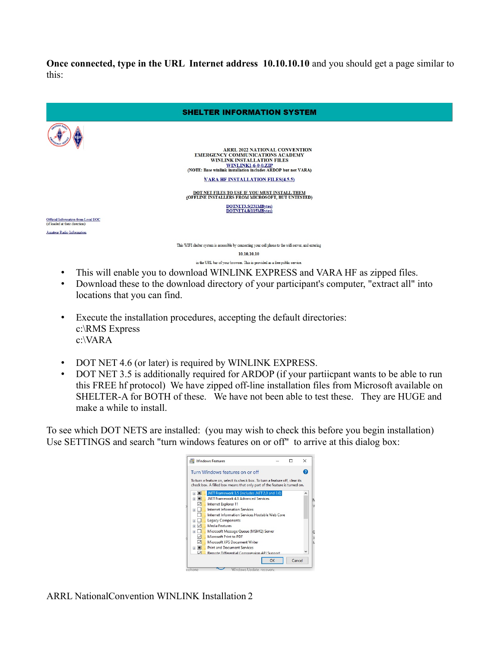**Once connected, type in the URL Internet address 10.10.10.10** and you should get a page similar to this:



- This will enable you to download WINLINK EXPRESS and VARA HF as zipped files. • Download these to the download directory of your participant's computer, "extract all" into
- locations that you can find.
- Execute the installation procedures, accepting the default directories: c:\RMS Express c:\VARA
- DOT NET 4.6 (or later) is required by WINLINK EXPRESS.
- DOT NET 3.5 is additionally required for ARDOP (if your partiicpant wants to be able to run this FREE hf protocol) We have zipped off-line installation files from Microsoft available on SHELTER-A for BOTH of these. We have not been able to test these. They are HUGE and make a while to install.

To see which DOT NETS are installed: (you may wish to check this before you begin installation) Use SETTINGS and search "turn windows features on or off" to arrive at this dialog box:



ARRL NationalConvention WINLINK Installation 2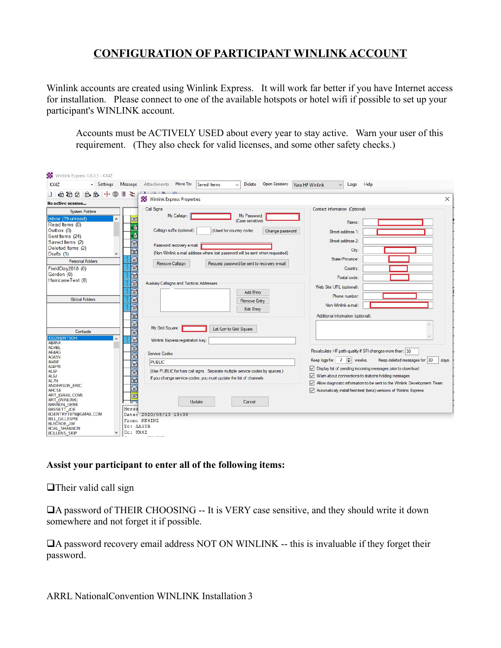## **CONFIGURATION OF PARTICIPANT WINLINK ACCOUNT**

Winlink accounts are created using Winlink Express. It will work far better if you have Internet access for installation. Please connect to one of the available hotspots or hotel wifi if possible to set up your participant's WINLINK account.

Accounts must be ACTIVELY USED about every year to stay active. Warn your user of this requirement. (They also check for valid licenses, and some other safety checks.)

| Winlink Express 1.6.0.3 - KX4Z                                                                                                                                                                                                                                                                                                  |                                                                                                                                                                                                                                                                                                                                                                                                                                                                                                                                                                 |                                                                                                                                                                                                                                                                                                                                                                                                                     |
|---------------------------------------------------------------------------------------------------------------------------------------------------------------------------------------------------------------------------------------------------------------------------------------------------------------------------------|-----------------------------------------------------------------------------------------------------------------------------------------------------------------------------------------------------------------------------------------------------------------------------------------------------------------------------------------------------------------------------------------------------------------------------------------------------------------------------------------------------------------------------------------------------------------|---------------------------------------------------------------------------------------------------------------------------------------------------------------------------------------------------------------------------------------------------------------------------------------------------------------------------------------------------------------------------------------------------------------------|
| <b>KX47</b><br>· Settings                                                                                                                                                                                                                                                                                                       | Attachments Move To:<br>Delete Open Session:<br>Saved Items<br>Message                                                                                                                                                                                                                                                                                                                                                                                                                                                                                          | Help<br>Vara HF Winlink<br>Logs                                                                                                                                                                                                                                                                                                                                                                                     |
| 口白伯白白白十<br>⊕<br>冒                                                                                                                                                                                                                                                                                                               | 仝                                                                                                                                                                                                                                                                                                                                                                                                                                                                                                                                                               | $\times$                                                                                                                                                                                                                                                                                                                                                                                                            |
| No active session                                                                                                                                                                                                                                                                                                               | Winlink Express Properties                                                                                                                                                                                                                                                                                                                                                                                                                                                                                                                                      |                                                                                                                                                                                                                                                                                                                                                                                                                     |
| <b>System Folders</b><br>Inbox (79 unread)<br>Read Items (0)<br>Outbox (0)<br>Sent Items (24)<br>Saved Items (2)<br>Deleted Items (2)<br>Drafts (1)<br><b>Personal Folders</b><br>FieldDay2018 (0)<br>Gordon (0)<br>HurricaneTest (0)<br><b>Global Folders</b>                                                                  | Call Signs<br>My Callsign:<br>My Password:<br>E<br>(Case sensitive)<br>廥<br>Callsign suffix (optional):<br>(Used for country code)<br>Change password<br>廥<br>₽<br>Password recovery e-mail:<br>$\overline{\mathsf{P}}$<br>(Non-Winlink e-mail address where lost password will be sent when requested)<br>⊜<br>Remove Callsign<br>Request password be sent to recovery e-mail<br>ē<br>画<br>ē<br>Auxiliary Callsigns and Tactical Addresses<br>ē<br><b>Add Entry</b><br>$\overline{\widehat{\mathsf{P}}}$<br><b>Remove Entry</b><br>⊜<br><b>Edit Entry</b><br>ē | Contact Information (Optional)<br>Name:<br>Street address 1:<br>Street address 2:<br>City:<br>State/Province:<br>Country:<br>Postal code:<br>Web Site URL (optional):<br>Phone number:<br>Non-Winlink e-mail:<br>Additional information (optional):                                                                                                                                                                 |
| Contacts<br>43228@NTSOH<br>AB4NX<br>AD4BL<br>AE4AG<br>AG6SV<br>AI4NF<br>AJ4FW<br>AL <sub>6</sub> F<br>AL <sub>6</sub> J<br>AL7N<br>ANDERSON ERIC<br><b>ARCSE</b><br>ART (GMAIL.COM)<br><b>ART (WINLINK)</b><br><b>BANNON GENE</b><br><b>BASSETT JOE</b><br>BGENTRY1979@GMAIL.COM<br><b>BILL GILLESPIE</b><br><b>BLEDSOE JIM</b> | $\overline{\mathbf{e}}$<br>My Grid Square:<br>Lat/Lon to Grid Square<br>$\overline{\mathsf{P}}$<br>⊜<br>Winlink Express registration key:<br>€<br>$\overline{\mathbf{r}}$<br>Service Codes<br>$\overline{\mathbf{r}}$<br><b>PUBLIC</b><br>⊜<br>(Use PUBLIC for ham call signs. Separate multiple service codes by spaces.)<br>⋒<br>If you change service codes, you must update the list of channels.<br>ē<br>ē<br>Update<br>Cancel<br>Messa<br>Date: 2020/08/13 13:38<br>From: KK4INZ                                                                          | Recalculate HF path quality if SFI changes more than: 30<br>Keep logs for $2 \div$ weeks.<br>Keep deleted messages for 30<br>days.<br>○ Display list of pending incoming messages prior to download<br>$\vee$ Wam about connections to stations holding messages<br>○ Allow diagnostic information to be sent to the Winlink Development Team<br>Automaticaly install field-test (beta) versions of Winlink Express |
| <b>BOAL SHANNON</b><br><b>BOLLENS_SKIP</b>                                                                                                                                                                                                                                                                                      | To: AA3YB<br>Cc: KX4Z                                                                                                                                                                                                                                                                                                                                                                                                                                                                                                                                           |                                                                                                                                                                                                                                                                                                                                                                                                                     |

#### **Assist your participant to enter all of the following items:**

 $\Box$ Their valid call sign

 $\Box$ A password of THEIR CHOOSING -- It is VERY case sensitive, and they should write it down somewhere and not forget it if possible.

 $\Box$ A password recovery email address NOT ON WINLINK -- this is invaluable if they forget their password.